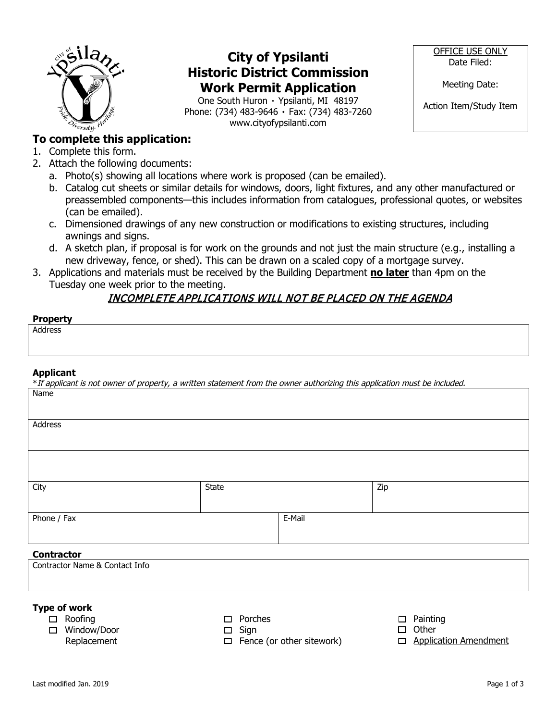

## **City of Ypsilanti Historic District Commission Work Permit Application**

One South Huron ۰ Ypsilanti, MI 48197 Phone: (734) 483-9646 ۰ Fax: (734) 483-7260 www.cityofypsilanti.com

OFFICE USE ONLY Date Filed:

Meeting Date:

Action Item/Study Item

### **To complete this application:**

- 1. Complete this form.
- 2. Attach the following documents:
	- a. Photo(s) showing all locations where work is proposed (can be emailed).
	- b. Catalog cut sheets or similar details for windows, doors, light fixtures, and any other manufactured or preassembled components—this includes information from catalogues, professional quotes, or websites (can be emailed).
	- c. Dimensioned drawings of any new construction or modifications to existing structures, including awnings and signs.
	- d. A sketch plan, if proposal is for work on the grounds and not just the main structure (e.g., installing a new driveway, fence, or shed). This can be drawn on a scaled copy of a mortgage survey.
- 3. Applications and materials must be received by the Building Department **no later** than 4pm on the Tuesday one week prior to the meeting.

### INCOMPLETE APPLICATIONS WILL NOT BE PLACED ON THE AGENDA

| <b>Property</b><br>. |  |
|----------------------|--|
| Address              |  |
|                      |  |

#### **Applicant**

| *If applicant is not owner of property, a written statement from the owner authorizing this application must be included. |              |        |     |
|---------------------------------------------------------------------------------------------------------------------------|--------------|--------|-----|
| Name                                                                                                                      |              |        |     |
|                                                                                                                           |              |        |     |
|                                                                                                                           |              |        |     |
| Address                                                                                                                   |              |        |     |
|                                                                                                                           |              |        |     |
|                                                                                                                           |              |        |     |
|                                                                                                                           |              |        |     |
|                                                                                                                           |              |        |     |
| City                                                                                                                      | <b>State</b> |        | Zip |
|                                                                                                                           |              |        |     |
|                                                                                                                           |              |        |     |
| Phone / Fax                                                                                                               |              | E-Mail |     |
|                                                                                                                           |              |        |     |
|                                                                                                                           |              |        |     |
| <b>Contractor</b>                                                                                                         |              |        |     |
| Contractor Name & Contact Info                                                                                            |              |        |     |

#### **Type of work**

- □ Roofing
- Window/Door
- Replacement

 $\Box$  Porches  $\square$  Sign

 $\Box$  Painting

- $\Box$  Fence (or other sitework)
- $\square$  Other
- **ID** Application Amendment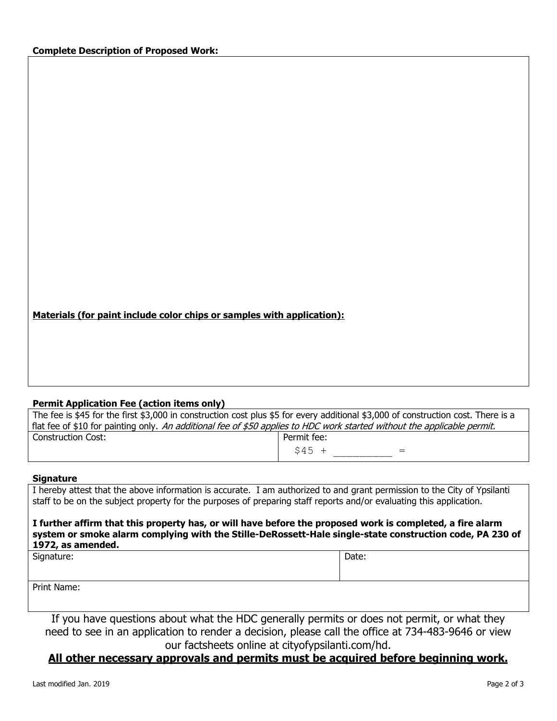| Materials (for paint include color chips or samples with application): |
|------------------------------------------------------------------------|
|------------------------------------------------------------------------|

#### **Permit Application Fee (action items only)**

| The fee is \$45 for the first \$3,000 in construction cost plus \$5 for every additional \$3,000 of construction cost. There is a |                |  |
|-----------------------------------------------------------------------------------------------------------------------------------|----------------|--|
| flat fee of \$10 for painting only. An additional fee of \$50 applies to HDC work started without the applicable permit.          |                |  |
| Construction Cost:                                                                                                                | Permit fee:    |  |
|                                                                                                                                   | $S45 +$<br>$=$ |  |

#### **Signature**

I hereby attest that the above information is accurate. I am authorized to and grant permission to the City of Ypsilanti staff to be on the subject property for the purposes of preparing staff reports and/or evaluating this application.

**I further affirm that this property has, or will have before the proposed work is completed, a fire alarm system or smoke alarm complying with the Stille-DeRossett-Hale single-state construction code, PA 230 of 1972, as amended.**

Signature: Date: Date: Date: Date: Date: Date: Date: Date: Date: Date: Date: Date: Date: Date: Date: Date: Date: Date: Date: Date: Date: Date: Date: Date: Date: Date: Date: Date: Date: Date: Date: Date: Date: Date: Date: D

Print Name:

If you have questions about what the HDC generally permits or does not permit, or what they need to see in an application to render a decision, please call the office at 734-483-9646 or view our factsheets online at cityofypsilanti.com/hd.

### **All other necessary approvals and permits must be acquired before beginning work.**